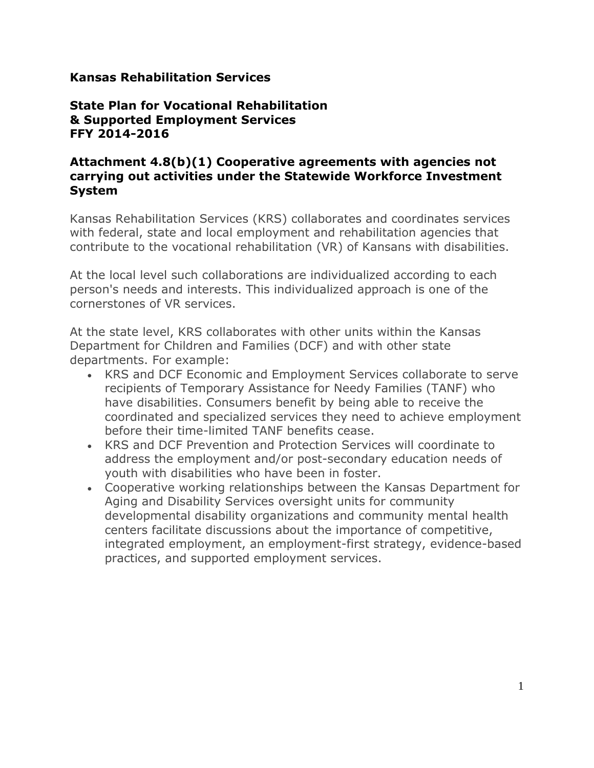### **Kansas Rehabilitation Services**

## **State Plan for Vocational Rehabilitation & Supported Employment Services FFY 2014-2016**

#### **Attachment 4.8(b)(1) Cooperative agreements with agencies not carrying out activities under the Statewide Workforce Investment System**

Kansas Rehabilitation Services (KRS) collaborates and coordinates services with federal, state and local employment and rehabilitation agencies that contribute to the vocational rehabilitation (VR) of Kansans with disabilities.

At the local level such collaborations are individualized according to each person's needs and interests. This individualized approach is one of the cornerstones of VR services.

At the state level, KRS collaborates with other units within the Kansas Department for Children and Families (DCF) and with other state departments. For example:

- KRS and DCF Economic and Employment Services collaborate to serve recipients of Temporary Assistance for Needy Families (TANF) who have disabilities. Consumers benefit by being able to receive the coordinated and specialized services they need to achieve employment before their time-limited TANF benefits cease.
- KRS and DCF Prevention and Protection Services will coordinate to address the employment and/or post-secondary education needs of youth with disabilities who have been in foster.
- Cooperative working relationships between the Kansas Department for Aging and Disability Services oversight units for community developmental disability organizations and community mental health centers facilitate discussions about the importance of competitive, integrated employment, an employment-first strategy, evidence-based practices, and supported employment services.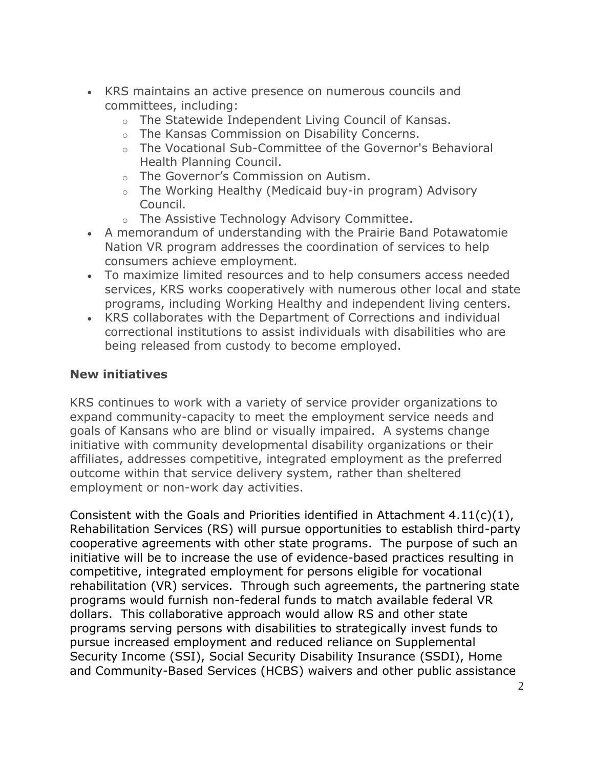- KRS maintains an active presence on numerous councils and committees, including:
	- o The Statewide Independent Living Council of Kansas.
	- o The Kansas Commission on Disability Concerns.
	- $\circ$  The Vocational Sub-Committee of the Governor's Behavioral Health Planning Council.
	- o The Governor's Commission on Autism.
	- o The Working Healthy (Medicaid buy-in program) Advisory Council.
	- o The Assistive Technology Advisory Committee.
- A memorandum of understanding with the Prairie Band Potawatomie Nation VR program addresses the coordination of services to help consumers achieve employment.
- To maximize limited resources and to help consumers access needed services, KRS works cooperatively with numerous other local and state programs, including Working Healthy and independent living centers.
- KRS collaborates with the Department of Corrections and individual correctional institutions to assist individuals with disabilities who are being released from custody to become employed.

# **New initiatives**

KRS continues to work with a variety of service provider organizations to expand community-capacity to meet the employment service needs and goals of Kansans who are blind or visually impaired. A systems change initiative with community developmental disability organizations or their affiliates, addresses competitive, integrated employment as the preferred outcome within that service delivery system, rather than sheltered employment or non-work day activities.

Consistent with the Goals and Priorities identified in Attachment  $4.11(c)(1)$ , Rehabilitation Services (RS) will pursue opportunities to establish third-party cooperative agreements with other state programs. The purpose of such an initiative will be to increase the use of evidence-based practices resulting in competitive, integrated employment for persons eligible for vocational rehabilitation (VR) services. Through such agreements, the partnering state programs would furnish non-federal funds to match available federal VR dollars. This collaborative approach would allow RS and other state programs serving persons with disabilities to strategically invest funds to pursue increased employment and reduced reliance on Supplemental Security Income (SSI), Social Security Disability Insurance (SSDI), Home and Community-Based Services (HCBS) waivers and other public assistance